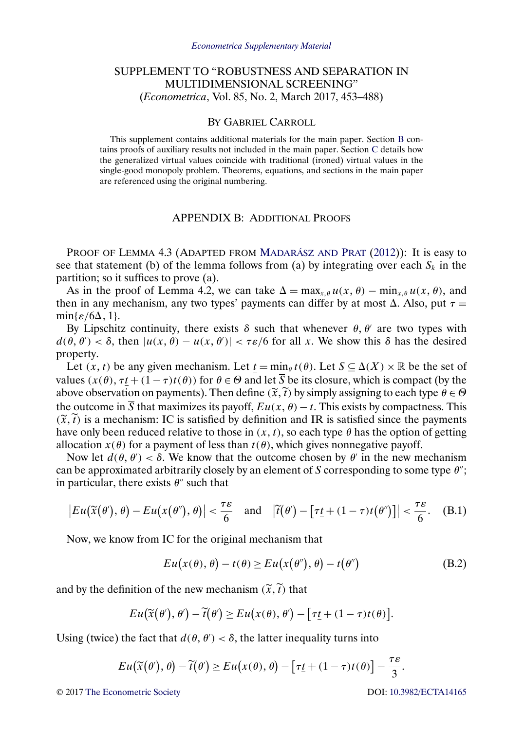# <span id="page-0-0"></span>SUPPLEMENT TO "ROBUSTNESS AND SEPARATION IN MULTIDIMENSIONAL SCREENING" (*Econometrica*, Vol. 85, No. 2, March 2017, 453–488)

#### BY GABRIEL CARROLL

This supplement contains additional materials for the main paper. Section B contains proofs of auxiliary results not included in the main paper. Section [C](#page-6-0) details how the generalized virtual values coincide with traditional (ironed) virtual values in the single-good monopoly problem. Theorems, equations, and sections in the main paper are referenced using the original numbering.

### APPENDIX B: ADDITIONAL PROOFS

PROOF OF LEMMA 4.3 (ADAPTED FROM [MADARÁSZ AND](#page-9-0) PRAT [\(2012\)](#page-9-0)): It is easy to see that statement (b) of the lemma follows from (a) by integrating over each  $S_k$  in the partition; so it suffices to prove (a).

As in the proof of Lemma 4.2, we can take  $\Delta = \max_{x, \theta} u(x, \theta) - \min_{x, \theta} u(x, \theta)$ , and then in any mechanism, any two types' payments can differ by at most  $\Delta$ . Also, put  $\tau =$  $min\{\varepsilon/6\Delta, 1\}.$ 

By Lipschitz continuity, there exists  $\delta$  such that whenever  $\theta$ ,  $\theta'$  are two types with  $d(\theta, \theta') < \delta$ , then  $|u(x, \theta) - u(x, \theta')| < \tau \varepsilon/6$  for all x. We show this  $\delta$  has the desired property.

Let  $(x, t)$  be any given mechanism. Let  $\underline{t} = \min_{\theta} t(\theta)$ . Let  $S \subseteq \Delta(X) \times \mathbb{R}$  be the set of values  $(x(\theta), \tau t + (1 - \tau)t(\theta))$  for  $\theta \in \Theta$  and let  $\overline{S}$  be its closure, which is compact (by the above observation on payments). Then define  $(\tilde{x}, \tilde{t})$  by simply assigning to each type  $\theta \in \Theta$ the outcome in  $\overline{S}$  that maximizes its payoff,  $Eu(x, \theta) - t$ . This exists by compactness. This  $(\tilde{x}, t)$  is a mechanism: IC is satisfied by definition and IR is satisfied since the payments<br>have only been reduced relative to those in  $(x, t)$  so each time 0 has the entire of eatting have only been reduced relative to those in  $(x, t)$ , so each type  $\theta$  has the option of getting allocation  $x(\theta)$  for a payment of less than  $t(\theta)$ , which gives nonnegative payoff.

Now let  $d(\theta, \theta') < \delta$ . We know that the outcome chosen by  $\theta'$  in the new mechanism can be approximated arbitrarily closely by an element of S corresponding to some type  $\theta$ "; in particular, there exists  $\theta$ <sup>"</sup> such that

$$
\big| Eu\big(\widetilde{x}(\theta'),\theta\big)- Eu\big(x(\theta''),\theta\big)\big| < \frac{\tau\varepsilon}{6} \quad \text{and} \quad \big|\widetilde{t}(\theta') - \big[\tau\underline{t} + (1-\tau)t(\theta'')\big]\big| < \frac{\tau\varepsilon}{6}.
$$
 (B.1)

Now, we know from IC for the original mechanism that

$$
Eu(x(\theta), \theta) - t(\theta) \ge Eu(x(\theta''), \theta) - t(\theta'')
$$
 (B.2)

and by the definition of the new mechanism  $(\tilde{x}, \tilde{t})$  that

$$
Eu(\widetilde{x}(\theta'), \theta') - \widetilde{t}(\theta') \ge Eu(x(\theta), \theta') - [\tau \underline{t} + (1 - \tau)t(\theta)].
$$

Using (twice) the fact that  $d(\theta, \theta') < \delta$ , the latter inequality turns into

$$
Eu(\widetilde{x}(\theta),\theta)-\widetilde{t}(\theta')\ge Eu(x(\theta),\theta)-\left[\tau\underline{t}+(1-\tau)t(\theta)\right]-\frac{\tau\varepsilon}{3}.
$$

© 2017 [The Econometric Society](http://www.econometricsociety.org/) DOI: [10.3982/ECTA14165](http://dx.doi.org/10.3982/ECTA14165)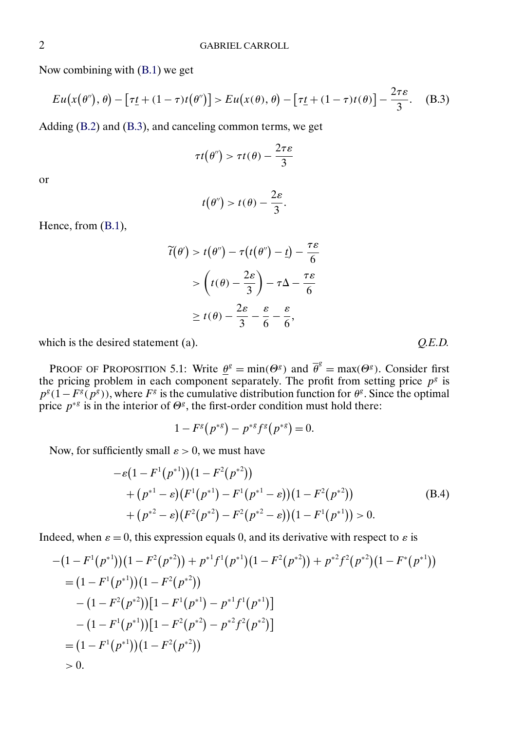<span id="page-1-0"></span>Now combining with [\(B.1\)](#page-0-0) we get

$$
Eu(x(\theta''), \theta) - \left[\tau \underline{t} + (1 - \tau)t(\theta'')\right] > Eu(x(\theta), \theta) - \left[\tau \underline{t} + (1 - \tau)t(\theta)\right] - \frac{2\tau \varepsilon}{3}.\tag{B.3}
$$

Adding [\(B.2\)](#page-0-0) and (B.3), and canceling common terms, we get

$$
\tau t(\theta'') > \tau t(\theta) - \frac{2\tau \varepsilon}{3}
$$

or

$$
t(\theta'') > t(\theta) - \frac{2\varepsilon}{3}.
$$

Hence, from [\(B.1\)](#page-0-0),

$$
\widetilde{t}(\theta') > t(\theta'') - \tau(t(\theta'') - \underline{t}) - \frac{\tau \varepsilon}{6}
$$
\n
$$
> \left(t(\theta) - \frac{2\varepsilon}{3}\right) - \tau \Delta - \frac{\tau \varepsilon}{6}
$$
\n
$$
\geq t(\theta) - \frac{2\varepsilon}{3} - \frac{\varepsilon}{6} - \frac{\varepsilon}{6},
$$

which is the desired statement (a).  $Q.E.D.$ 

PROOF OF PROPOSITION 5.1: Write  $\underline{\theta}^g = \min(\Theta^g)$  and  $\overline{\theta}^g = \max(\Theta^g)$ . Consider first the pricing problem in each component separately. The profit from setting price  $p<sup>g</sup>$  is  $p^{g}$ (1−F $g(p^{g})$ ), where F<sup>g</sup> is the cumulative distribution function for  $\theta^{g}$ . Since the optimal price  $p^{*g}$  is in the interior of  $\Theta^g$ , the first-order condition must hold there:

$$
1 - F^{g}(p^{*g}) - p^{*g}f^{g}(p^{*g}) = 0.
$$

Now, for sufficiently small  $\varepsilon > 0$ , we must have

$$
- \varepsilon (1 - F^{1}(p^{*1}))(1 - F^{2}(p^{*2}))
$$
  
+ 
$$
(p^{*1} - \varepsilon)(F^{1}(p^{*1}) - F^{1}(p^{*1} - \varepsilon))(1 - F^{2}(p^{*2}))
$$
  
+ 
$$
(p^{*2} - \varepsilon)(F^{2}(p^{*2}) - F^{2}(p^{*2} - \varepsilon))(1 - F^{1}(p^{*1})) > 0.
$$
 (B.4)

Indeed, when  $\varepsilon = 0$ , this expression equals 0, and its derivative with respect to  $\varepsilon$  is

$$
-(1 - F^{1}(p^{*1}))(1 - F^{2}(p^{*2})) + p^{*1}f^{1}(p^{*1})(1 - F^{2}(p^{*2})) + p^{*2}f^{2}(p^{*2})(1 - F^{*}(p^{*1}))
$$
  
\n
$$
= (1 - F^{1}(p^{*1}))(1 - F^{2}(p^{*2}))
$$
  
\n
$$
- (1 - F^{2}(p^{*2}))[1 - F^{1}(p^{*1}) - p^{*1}f^{1}(p^{*1})]
$$
  
\n
$$
- (1 - F^{1}(p^{*1}))[1 - F^{2}(p^{*2}) - p^{*2}f^{2}(p^{*2})]
$$
  
\n
$$
= (1 - F^{1}(p^{*1}))(1 - F^{2}(p^{*2}))
$$
  
\n
$$
> 0.
$$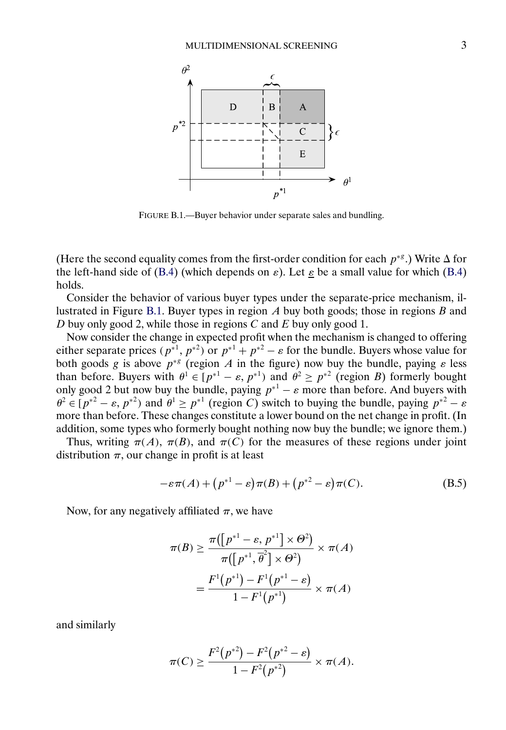<span id="page-2-0"></span>

FIGURE B.1.—Buyer behavior under separate sales and bundling.

(Here the second equality comes from the first-order condition for each  $p^{*g}$ .) Write  $\Delta$  for the left-hand side of [\(B.4\)](#page-1-0) (which depends on  $\varepsilon$ ). Let  $\varepsilon$  be a small value for which (B.4) holds.

Consider the behavior of various buyer types under the separate-price mechanism, illustrated in Figure B.1. Buyer types in region  $A$  buy both goods; those in regions  $B$  and D buy only good 2, while those in regions  $C$  and  $E$  buy only good 1.

Now consider the change in expected profit when the mechanism is changed to offering either separate prices  $(p^{*1}, p^{*2})$  or  $p^{*1} + p^{*2} - \varepsilon$  for the bundle. Buyers whose value for both goods g is above  $p^{*g}$  (region A in the figure) now buy the bundle, paying  $\varepsilon$  less than before. Buyers with  $\theta^1 \in [p^{*1} - \varepsilon, p^{*1})$  and  $\theta^2 \ge p^{*2}$  (region B) formerly bought only good 2 but now buy the bundle, paying  $p^{*1} - \varepsilon$  more than before. And buyers with  $\theta^2 \in [p^{*2} - \varepsilon, p^{*2})$  and  $\theta^1 \ge p^{*1}$  (region C) switch to buying the bundle, paying  $p^{*2} - \varepsilon$ more than before. These changes constitute a lower bound on the net change in profit. (In addition, some types who formerly bought nothing now buy the bundle; we ignore them.)

Thus, writing  $\pi(A)$ ,  $\pi(B)$ , and  $\pi(C)$  for the measures of these regions under joint distribution  $\pi$ , our change in profit is at least

$$
-\varepsilon\pi(A) + (p^{*1} - \varepsilon)\pi(B) + (p^{*2} - \varepsilon)\pi(C). \tag{B.5}
$$

Now, for any negatively affiliated  $\pi$ , we have

$$
\pi(B) \ge \frac{\pi([p^{*1} - \varepsilon, p^{*1}] \times \Theta^2)}{\pi([p^{*1}, \overline{\theta}^2] \times \Theta^2)} \times \pi(A)
$$

$$
= \frac{F^1(p^{*1}) - F^1(p^{*1} - \varepsilon)}{1 - F^1(p^{*1})} \times \pi(A)
$$

and similarly

$$
\pi(C) \ge \frac{F^2(p^{*2}) - F^2(p^{*2} - \varepsilon)}{1 - F^2(p^{*2})} \times \pi(A).
$$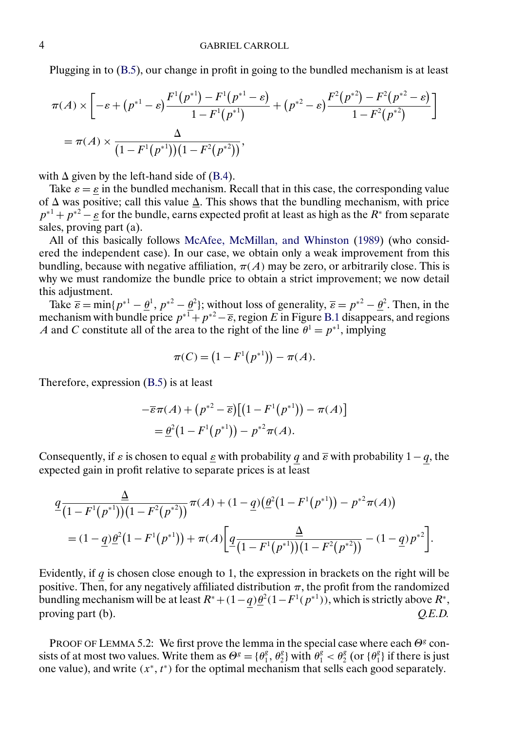<span id="page-3-0"></span>Plugging in to [\(B.5\)](#page-2-0), our change in profit in going to the bundled mechanism is at least

$$
\pi(A) \times \left[ -\varepsilon + (p^{*1} - \varepsilon) \frac{F^1(p^{*1}) - F^1(p^{*1} - \varepsilon)}{1 - F^1(p^{*1})} + (p^{*2} - \varepsilon) \frac{F^2(p^{*2}) - F^2(p^{*2} - \varepsilon)}{1 - F^2(p^{*2})} \right]
$$
  
=  $\pi(A) \times \frac{\Delta}{(1 - F^1(p^{*1}))(1 - F^2(p^{*2}))},$ 

with  $\Delta$  given by the left-hand side of [\(B.4\)](#page-1-0).

Take  $\varepsilon = \varepsilon$  in the bundled mechanism. Recall that in this case, the corresponding value of  $\Delta$  was positive; call this value  $\underline{\Delta}$ . This shows that the bundling mechanism, with price  $p^{*1} + p^{*2} - \varepsilon$  for the bundle, earns expected profit at least as high as the  $R^*$  from separate sales, proving part (a).

All of this basically follows [McAfee, McMillan, and Whinston](#page-9-0) [\(1989\)](#page-9-0) (who considered the independent case). In our case, we obtain only a weak improvement from this bundling, because with negative affiliation,  $\pi(A)$  may be zero, or arbitrarily close. This is why we must randomize the bundle price to obtain a strict improvement; we now detail this adjustment.

Take  $\overline{\epsilon} = \min\{p^{*1} - \underline{\theta}^1, p^{*2} - \underline{\theta}^2\}$ ; without loss of generality,  $\overline{\epsilon} = p^{*2} - \underline{\theta}^2$ . Then, in the mechanism with bundle price  $p^{*1}+p^{*2}-\overline{\epsilon}$ , region E in Figure [B.1](#page-2-0) disappears, and regions A and C constitute all of the area to the right of the line  $\theta^1 = p^{*1}$ , implying

$$
\pi(C) = (1 - F^1(p^{*1})) - \pi(A).
$$

Therefore, expression [\(B.5\)](#page-2-0) is at least

$$
-\overline{\varepsilon}\pi(A) + (p^{*2} - \overline{\varepsilon})\big[\big(1 - F^1(p^{*1})\big) - \pi(A)\big]
$$
  
= 
$$
\underline{\theta}^2\big(1 - F^1(p^{*1})\big) - p^{*2}\pi(A).
$$

Consequently, if  $\varepsilon$  is chosen to equal  $\underline{\varepsilon}$  with probability q and  $\overline{\varepsilon}$  with probability 1 − q, the expected gain in profit relative to separate prices is at least

$$
\frac{q}{4(1-F^1(p^{*1}))(1-F^2(p^{*2}))}\pi(A) + (1-q)(\underline{\theta}^2(1-F^1(p^{*1})) - p^{*2}\pi(A))
$$
  
=  $(1-q)\underline{\theta}^2(1-F^1(p^{*1})) + \pi(A)\left[\underline{q}\frac{\underline{\Delta}}{(1-F^1(p^{*1}))(1-F^2(p^{*2}))} - (1-q)p^{*2}\right].$ 

Evidently, if  $q$  is chosen close enough to 1, the expression in brackets on the right will be positive. Then, for any negatively affiliated distribution  $\pi$ , the profit from the randomized bundling mechanism will be at least  $R^* + (1-q)\frac{\theta^2}{1-F^1(p^{*1})}$ , which is strictly above  $R^*$ , proving part (b).  $Q.E.D.$ 

PROOF OF LEMMA 5.2: We first prove the lemma in the special case where each  $\Theta^g$  consists of at most two values. Write them as  $\Theta^g = \{\theta_1^g, \theta_2^g\}$  with  $\theta_1^g < \theta_2^g$  (or  $\{\theta_1^g\}$ ) if there is just one value), and write  $(x^*, t^*)$  for the optimal mechanism that sells each good separately.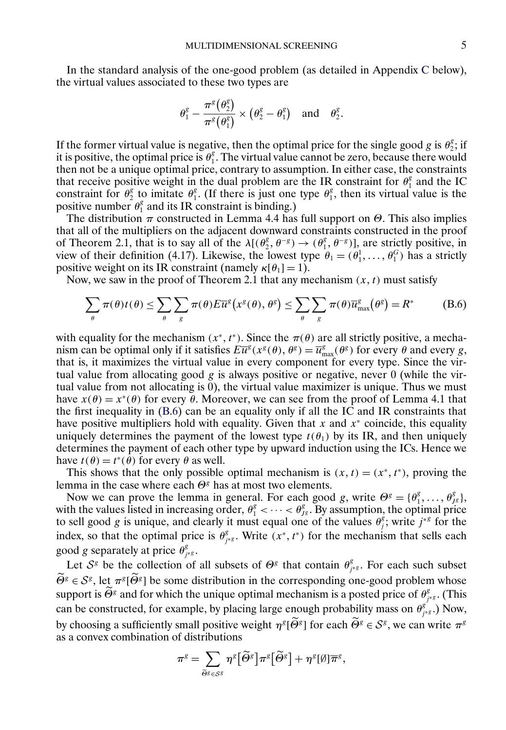In the standard analysis of the one-good problem (as detailed in Appendix [C](#page-6-0) below), the virtual values associated to these two types are

$$
\theta_1^g-\frac{\pi^g\big(\theta_2^g\big)}{\pi^g\big(\theta_1^g\big)}\times\big(\theta_2^g-\theta_1^g\big) \quad \text{and} \quad \theta_2^g.
$$

If the former virtual value is negative, then the optimal price for the single good g is  $\theta_2^s$ ; if it is positive, the optimal price is  $\theta_1^g$ . The virtual value cannot be zero, because there would then not be a unique optimal price, contrary to assumption. In either case, the constraints that receive positive weight in the dual problem are the IR constraint for  $\theta_1^g$  and the IC constraint for  $\theta_2^g$  to imitate  $\theta_1^g$ . (If there is just one type  $\theta_1^g$ , then its virtual value is the positive number  $\theta_1^g$  and its IR constraint is binding.)

The distribution  $\pi$  constructed in Lemma 4.4 has full support on  $\Theta$ . This also implies that all of the multipliers on the adjacent downward constraints constructed in the proof of Theorem 2.1, that is to say all of the  $\lambda[(\theta_2^g, \theta^{-g}) \to (\theta_1^g, \theta^{-g})]$ , are strictly positive, in view of their definition (4.17). Likewise, the lowest type  $\theta_1 = (\theta_1^1, \dots, \theta_1^G)$  has a strictly positive weight on its IR constraint (namely  $\kappa[\theta_1] = 1$ ).

Now, we saw in the proof of Theorem 2.1 that any mechanism  $(x, t)$  must satisfy

$$
\sum_{\theta} \pi(\theta)t(\theta) \leq \sum_{\theta} \sum_{g} \pi(\theta) E \overline{u}^{g} \big(x^{g}(\theta), \theta^{g}\big) \leq \sum_{\theta} \sum_{g} \pi(\theta) \overline{u}^{g}_{\max} \big(\theta^{g}\big) = R^{*}
$$
 (B.6)

with equality for the mechanism  $(x^*, t^*)$ . Since the  $\pi(\theta)$  are all strictly positive, a mechanism can be optimal only if it satisfies  $E\overline{u}^g(x^g(\theta), \theta^g) = \overline{u}^g_{\text{max}}(\theta^g)$  for every  $\theta$  and every g, that is, it maximizes the virtual value in every component for every type. Since the virtual value from allocating good  $g$  is always positive or negative, never 0 (while the virtual value from not allocating is 0), the virtual value maximizer is unique. Thus we must have  $x(\theta) = x^*(\theta)$  for every  $\theta$ . Moreover, we can see from the proof of Lemma 4.1 that the first inequality in (B.6) can be an equality only if all the IC and IR constraints that have positive multipliers hold with equality. Given that x and  $x<sup>*</sup>$  coincide, this equality uniquely determines the payment of the lowest type  $t(\theta_1)$  by its IR, and then uniquely determines the payment of each other type by upward induction using the ICs. Hence we have  $t(\theta) = t^*(\theta)$  for every  $\theta$  as well.

This shows that the only possible optimal mechanism is  $(x, t) = (x^*, t^*)$ , proving the lemma in the case where each  $\Theta^g$  has at most two elements.

Now we can prove the lemma in general. For each good g, write  $\Theta^g = \{\theta_1^g, \dots, \theta_{\text{JS}}^g\},\$ with the values listed in increasing order,  $\theta_1^g < \cdots < \theta_{1g}^g$ . By assumption, the optimal price to sell good g is unique, and clearly it must equal one of the values  $\theta_j^g$ ; write  $j^{*g}$  for the index, so that the optimal price is  $\theta_{j * g}^g$ . Write  $(x^*, t^*)$  for the mechanism that sells each good g separately at price  $\theta_{j^{*g}}^g$ .

Let  $S^g$  be the collection of all subsets of  $\Theta^g$  that contain  $\theta_{j^{*g}}^g$ . For each such subset  $\Theta^g \in S^g$ , let  $\pi^g[\Theta^g]$  be some distribution in the corresponding one-good problem whose support is  $\widetilde{\Theta}^g$  and for which the unique optimal mechanism is a posted price of  $\theta^g_{j^{*}g}$ . (This can be constructed, for example, by placing large enough probability mass on  $\theta_{j^{*g}}^{g^*}$ .) Now, by choosing a sufficiently small positive weight  $\eta^{g}[\Theta^g]$  for each  $\Theta^g \in S^g$ , we can write  $\pi^g$ as a convex combination of distributions

$$
\pi^g=\sum_{\widetilde{\Theta}^g\in\mathcal{S}^g}\eta^g\big[\widetilde{\Theta}^g\big]\pi^g\big[\widetilde{\Theta}^g\big]+\eta^g[\emptyset]\overline{\pi}^g,
$$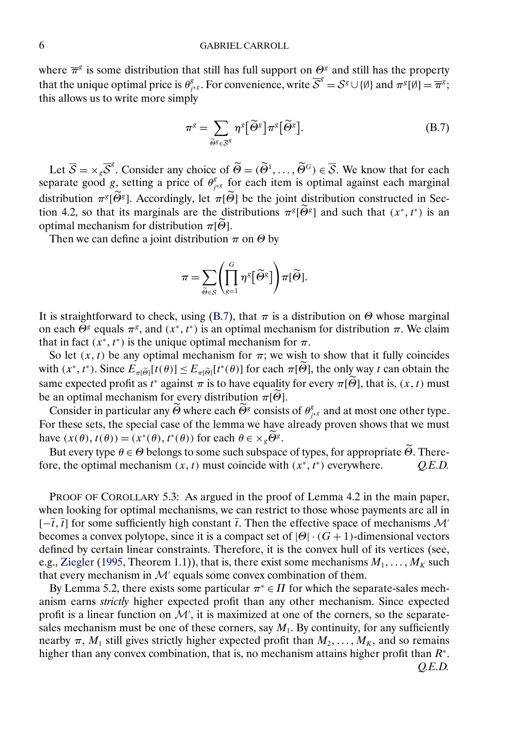## <span id="page-5-0"></span>6 GABRIEL CARROLL

where  $\overline{\pi}^g$  is some distribution that still has full support on  $\Theta^g$  and still has the property that the unique optimal price is  $\theta_{j^{*g}}^g$ . For convenience, write  $\overline{S}^g = S^g \cup \{\emptyset\}$  and  $\pi^g[\emptyset] = \overline{\pi}^g$ ; this allows us to write more simply

$$
\pi^g = \sum_{\widetilde{\Theta}^g \in \overline{S}^g} \eta^g \big[ \widetilde{\Theta}^g \big] \pi^g \big[ \widetilde{\Theta}^g \big].
$$
 (B.7)

Let  $\overline{S} = \times_{g} \overline{S}^{g}$ . Consider any choice of  $\widetilde{\Theta} = (\widetilde{\Theta}^{1}, \dots, \widetilde{\Theta}^{G}) \in \overline{S}$ . We know that for each separate good g, setting a price of  $\theta_{j^{*g}}^g$  for each item is optimal against each marginal distribution  $\pi^{g}[\Theta^{g}]$ . Accordingly, let  $\pi[\Theta]$  be the joint distribution constructed in Section 4.2, so that its marginals are the distributions  $\pi^{g}[\Theta^{g}]$  and such that  $(x^*, t^*)$  is an optimal mechanism for distribution  $\pi[\Theta]$ .

Then we can define a joint distribution  $\pi$  on  $\Theta$  by

$$
\pi = \sum_{\widetilde{\Theta} \in \mathcal{S}} \left( \prod_{g=1}^G \eta^g \left[ \widetilde{\Theta}^g \right] \right) \pi[\widetilde{\Theta}].
$$

It is straightforward to check, using (B.7), that  $\pi$  is a distribution on  $\Theta$  whose marginal on each  $\Theta^g$  equals  $\pi^g$ , and  $(x^*, t^*)$  is an optimal mechanism for distribution  $\pi$ . We claim that in fact  $(x^*, t^*)$  is the unique optimal mechanism for  $\pi$ .

So let  $(x, t)$  be any optimal mechanism for  $\pi$ ; we wish to show that it fully coincides with  $(x^*, t^*)$ . Since  $E_{\pi[\widetilde{\Theta}]}[t(\theta)] \le E_{\pi[\widetilde{\Theta}]}[t^*(\theta)]$  for each  $\pi[\Theta]$ , the only way t can obtain the same expected profit as  $t^*$  against  $\pi$  is to have equality for every  $\pi[\Theta]$ , that is,  $(x, t)$  must be an optimal mechanism for every distribution  $\pi[\Theta]$ .

Consider in particular any  $\widetilde{\Theta}$  where each  $\widetilde{\Theta}^g$  consists of  $\theta^g_{j*g}$  and at most one other type. For these sets, the special case of the lemma we have already proven shows that we must have  $(x(\theta), t(\theta)) = (x^*(\theta), t^*(\theta))$  for each  $\theta \in \times_g \overline{\Theta^g}$ .

But every type  $\theta \in \Theta$  belongs to some such subspace of types, for appropriate  $\Theta$ . Therefore, the optimal mechanism  $(x, t)$  must coincide with  $(x^*, t^*)$  everywhere.  $Q.E.D.$ 

PROOF OF COROLLARY 5.3: As argued in the proof of Lemma 4.2 in the main paper, when looking for optimal mechanisms, we can restrict to those whose payments are all in  $[-\overline{t}, \overline{t}]$  for some sufficiently high constant  $\overline{t}$ . Then the effective space of mechanisms M<sup>-1</sup> becomes a convex polytope, since it is a compact set of  $|\Theta| \cdot (G + 1)$ -dimensional vectors defined by certain linear constraints. Therefore, it is the convex hull of its vertices (see, e.g., [Ziegler](#page-9-0) [\(1995,](#page-9-0) Theorem 1.1)), that is, there exist some mechanisms  $M_1, \ldots, M_K$  such that every mechanism in  $\mathcal{M}'$  equals some convex combination of them.

By Lemma 5.2, there exists some particular  $\pi^* \in \Pi$  for which the separate-sales mechanism earns *strictly* higher expected profit than any other mechanism. Since expected profit is a linear function on  $\mathcal{M}'$ , it is maximized at one of the corners, so the separatesales mechanism must be one of these corners, say  $M_1$ . By continuity, for any sufficiently nearby  $\pi$ ,  $M_1$  still gives strictly higher expected profit than  $M_2, \ldots, M_K$ , and so remains higher than any convex combination, that is, no mechanism attains higher profit than  $R^*$ .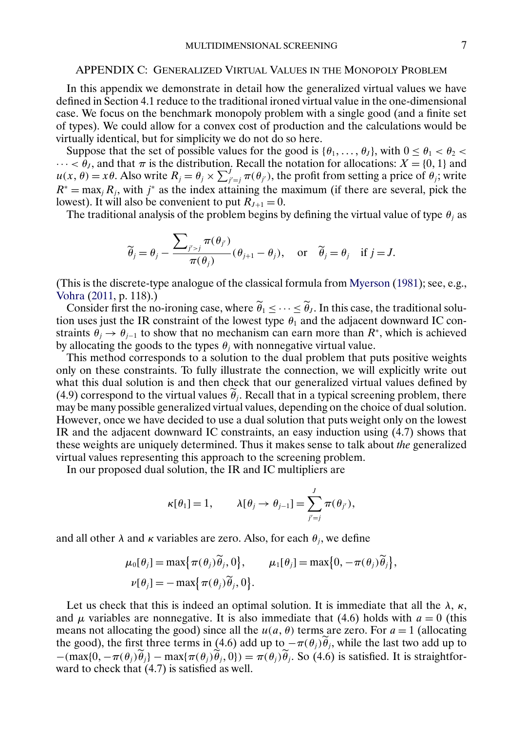#### <span id="page-6-0"></span>APPENDIX C: GENERALIZED VIRTUAL VALUES IN THE MONOPOLY PROBLEM

In this appendix we demonstrate in detail how the generalized virtual values we have defined in Section 4.1 reduce to the traditional ironed virtual value in the one-dimensional case. We focus on the benchmark monopoly problem with a single good (and a finite set of types). We could allow for a convex cost of production and the calculations would be virtually identical, but for simplicity we do not do so here.

Suppose that the set of possible values for the good is  $\{\theta_1, \ldots, \theta_J\}$ , with  $0 \le \theta_1 < \theta_2 < \theta_2$  $\cdots < \theta_J$ , and that  $\pi$  is the distribution. Recall the notation for allocations:  $X = \{0, 1\}$  and  $u(x, \theta) = x\theta$ . Also write  $R_j = \theta_j \times \sum_{j'=j}^J \pi(\theta_{j'})$ , the profit from setting a price of  $\theta_j$ ; write  $R^* = \max_j R_j$ , with j<sup>∗</sup> as the index attaining the maximum (if there are several, pick the lowest). It will also be convenient to put  $R_{J+1} = 0$ .

The traditional analysis of the problem begins by defining the virtual value of type  $\theta_i$  as

$$
\widetilde{\theta}_j = \theta_j - \frac{\sum_{j' > j} \pi(\theta_{j'})}{\pi(\theta_j)} (\theta_{j+1} - \theta_j), \quad \text{or} \quad \widetilde{\theta}_j = \theta_j \quad \text{if } j = J.
$$

(This is the discrete-type analogue of the classical formula from [Myerson](#page-9-0) [\(1981\)](#page-9-0); see, e.g., [Vohra](#page-9-0) [\(2011,](#page-9-0) p. 118).)

Consider first the no-ironing case, where  $\hat{\theta}_1 \leq \cdots \leq \hat{\theta}_J$ . In this case, the traditional solution uses just the IR constraint of the lowest type  $\theta_1$  and the adjacent downward IC constraints  $\theta_j \to \theta_{j-1}$  to show that no mechanism can earn more than  $R^*$ , which is achieved by allocating the goods to the types  $\theta_j$  with nonnegative virtual value.

This method corresponds to a solution to the dual problem that puts positive weights only on these constraints. To fully illustrate the connection, we will explicitly write out what this dual solution is and then check that our generalized virtual values defined by (4.9) correspond to the virtual values  $\theta_j$ . Recall that in a typical screening problem, there may be many possible generalized virtual values, depending on the choice of dual solution. However, once we have decided to use a dual solution that puts weight only on the lowest IR and the adjacent downward IC constraints, an easy induction using (4.7) shows that these weights are uniquely determined. Thus it makes sense to talk about *the* generalized virtual values representing this approach to the screening problem.

In our proposed dual solution, the IR and IC multipliers are

$$
\kappa[\theta_1]=1, \qquad \lambda[\theta_j\to\theta_{j-1}]=\sum_{j'=j}^J\pi(\theta_{j'}),
$$

and all other  $\lambda$  and  $\kappa$  variables are zero. Also, for each  $\theta_j$ , we define

$$
\mu_0[\theta_j] = \max{\pi(\theta_j)\widetilde{\theta}_j, 0}, \qquad \mu_1[\theta_j] = \max{0, -\pi(\theta_j)\widetilde{\theta}_j},
$$
  

$$
\nu[\theta_j] = -\max{\pi(\theta_j)\widetilde{\theta}_j, 0}.
$$

Let us check that this is indeed an optimal solution. It is immediate that all the  $\lambda$ ,  $\kappa$ , and  $\mu$  variables are nonnegative. It is also immediate that (4.6) holds with  $a = 0$  (this means not allocating the good) since all the  $u(a, \theta)$  terms are zero. For  $a = 1$  (allocating the good), the first three terms in (4.6) add up to  $-\pi(\theta_j)\tilde{\theta}_j$ , while the last two add up to  $-(\max\{0, -\pi(\theta_i)\hat{\theta}_i\} - \max\{\pi(\theta_i)\hat{\theta}_i, 0\}) = \pi(\theta_i)\hat{\theta}_i$ . So (4.6) is satisfied. It is straightforward to check that (4.7) is satisfied as well.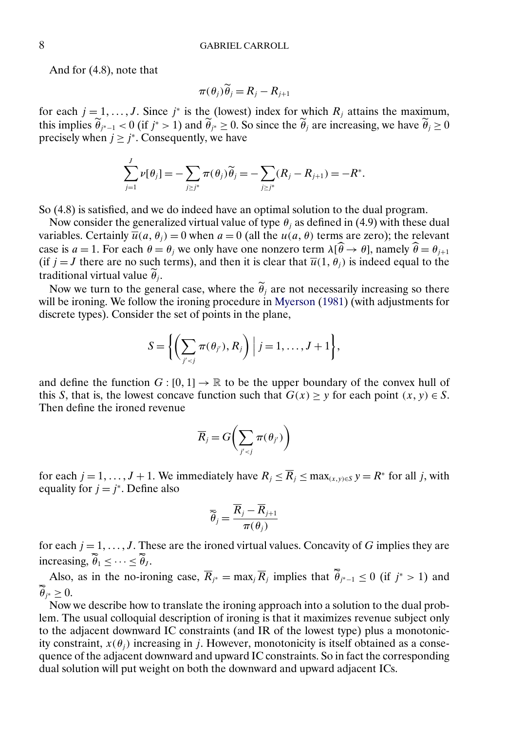<span id="page-7-0"></span>And for (4.8), note that

$$
\pi(\theta_j)\widetilde{\theta}_j = R_j - R_{j+1}
$$

for each  $j = 1, \ldots, J$ . Since  $j^*$  is the (lowest) index for which  $R_j$  attains the maximum, this implies  $\hat{\theta}_{j^*-1} < 0$  (if  $j^* > 1$ ) and  $\hat{\theta}_{j^*} \ge 0$ . So since the  $\hat{\theta}_j$  are increasing, we have  $\hat{\theta}_j \ge 0$ precisely when  $j \geq j^*$ . Consequently, we have

$$
\sum_{j=1}^J \nu[\theta_j] = -\sum_{j \ge j^*} \pi(\theta_j) \widetilde{\theta}_j = -\sum_{j \ge j^*} (R_j - R_{j+1}) = -R^*.
$$

So (4.8) is satisfied, and we do indeed have an optimal solution to the dual program.

Now consider the generalized virtual value of type  $\theta_i$  as defined in (4.9) with these dual variables. Certainly  $\overline{u}(a, \theta_i) = 0$  when  $a = 0$  (all the  $u(a, \theta)$  terms are zero); the relevant case is  $a = 1$ . For each  $\theta = \theta_j$  we only have one nonzero term  $\lambda[\hat{\theta} \to \theta]$ , namely  $\hat{\theta} = \theta_{j+1}$ (if  $j = J$  there are no such terms), and then it is clear that  $\overline{u}(1, \theta_j)$  is indeed equal to the traditional virtual value  $\theta_j$ .

Now we turn to the general case, where the  $\theta_j$  are not necessarily increasing so there will be ironing. We follow the ironing procedure in [Myerson](#page-9-0) [\(1981\)](#page-9-0) (with adjustments for discrete types). Consider the set of points in the plane,

$$
S = \left\{ \left( \sum_{j' < j} \pi(\theta_{j'}), R_j \right) \middle| j = 1, \ldots, J+1 \right\},\
$$

and define the function  $G: [0, 1] \to \mathbb{R}$  to be the upper boundary of the convex hull of this S, that is, the lowest concave function such that  $G(x) \geq y$  for each point  $(x, y) \in S$ . Then define the ironed revenue

$$
\overline{R}_j = G\bigg(\sum_{j' < j} \pi(\theta_{j'})\bigg)
$$

for each  $j = 1, \ldots, J + 1$ . We immediately have  $R_j \leq \overline{R}_j \leq \max_{(x, y) \in S} y = R^*$  for all j, with equality for  $j = j^*$ . Define also

$$
\overline{\widetilde{\theta}}_j = \frac{\overline{R}_j - \overline{R}_{j+1}}{\pi(\theta_j)}
$$

for each  $j = 1, \ldots, J$ . These are the ironed virtual values. Concavity of G implies they are increasing,  $\ddot{\theta}_1 \leq \cdots \leq \ddot{\theta}_J$ .

Also, as in the no-ironing case,  $\overline{R}_{j^*} = \max_j \overline{R}_j$  implies that  $\tilde{\theta}_{j^*-1} \leq 0$  (if  $j^* > 1$ ) and  $\ddot{\theta}_{j^*} \geq 0.$ 

Now we describe how to translate the ironing approach into a solution to the dual problem. The usual colloquial description of ironing is that it maximizes revenue subject only to the adjacent downward IC constraints (and IR of the lowest type) plus a monotonicity constraint,  $x(\theta_i)$  increasing in j. However, monotonicity is itself obtained as a consequence of the adjacent downward and upward IC constraints. So in fact the corresponding dual solution will put weight on both the downward and upward adjacent ICs.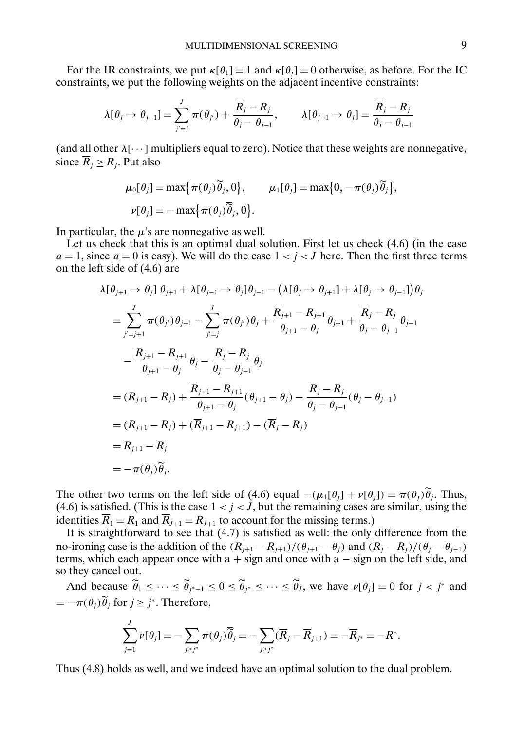For the IR constraints, we put  $\kappa[\theta_1] = 1$  and  $\kappa[\theta_i] = 0$  otherwise, as before. For the IC constraints, we put the following weights on the adjacent incentive constraints:

$$
\lambda[\theta_j \to \theta_{j-1}] = \sum_{j'=j}^J \pi(\theta_{j'}) + \frac{\overline{R}_j - R_j}{\theta_j - \theta_{j-1}}, \qquad \lambda[\theta_{j-1} \to \theta_j] = \frac{\overline{R}_j - R_j}{\theta_j - \theta_{j-1}}
$$

(and all other  $\lambda[\cdots]$  multipliers equal to zero). Notice that these weights are nonnegative, since  $\overline{R}_i \geq R_i$ . Put also

$$
\mu_0[\theta_j] = \max{\pi(\theta_j)\overline{\theta}_j, 0}, \qquad \mu_1[\theta_j] = \max{0, -\pi(\theta_j)\overline{\theta}_j},
$$
  

$$
\nu[\theta_j] = -\max{\pi(\theta_j)\overline{\theta}_j, 0}.
$$

In particular, the  $\mu$ 's are nonnegative as well.

J

Let us check that this is an optimal dual solution. First let us check  $(4.6)$  (in the case  $a = 1$ , since  $a = 0$  is easy). We will do the case  $1 < i < J$  here. Then the first three terms on the left side of (4.6) are

$$
\lambda[\theta_{j+1} \to \theta_j] \theta_{j+1} + \lambda[\theta_{j-1} \to \theta_j] \theta_{j-1} - (\lambda[\theta_j \to \theta_{j+1}] + \lambda[\theta_j \to \theta_{j-1}]) \theta_j
$$
\n
$$
= \sum_{j'=j+1}^{J} \pi(\theta_{j'}) \theta_{j+1} - \sum_{j'=j}^{J} \pi(\theta_{j'}) \theta_j + \frac{\overline{R}_{j+1} - R_{j+1}}{\theta_{j+1} - \theta_j} \theta_{j+1} + \frac{\overline{R}_{j} - R_{j}}{\theta_{j} - \theta_{j-1}} \theta_{j-1}
$$
\n
$$
- \frac{\overline{R}_{j+1} - R_{j+1}}{\theta_{j+1} - \theta_{j}} \theta_j - \frac{\overline{R}_{j} - R_{j}}{\theta_{j} - \theta_{j-1}} \theta_j
$$
\n
$$
= (R_{j+1} - R_{j}) + \frac{\overline{R}_{j+1} - R_{j+1}}{\theta_{j+1} - \theta_{j}} (\theta_{j+1} - \theta_j) - \frac{\overline{R}_{j} - R_{j}}{\theta_{j} - \theta_{j-1}} (\theta_{j} - \theta_{j-1})
$$
\n
$$
= (R_{j+1} - R_{j}) + (\overline{R}_{j+1} - R_{j+1}) - (\overline{R}_{j} - R_{j})
$$
\n
$$
= \overline{R}_{j+1} - \overline{R}_{j}
$$
\n
$$
= -\pi(\theta_{j}) \overline{\theta}_{j}.
$$

The other two terms on the left side of (4.6) equal  $-(\mu_1[\theta_j] + \nu[\theta_j]) = \pi(\theta_j)\tilde{\theta}_j$ . Thus, (4.6) is satisfied. (This is the case  $1 < j < J$ , but the remaining cases are similar, using the identities  $\overline{R}_1 = R_1$  and  $\overline{R}_{J+1} = R_{J+1}$  to account for the missing terms.)

It is straightforward to see that (4.7) is satisfied as well: the only difference from the no-ironing case is the addition of the  $(\overline{R}_{j+1} - R_{j+1})/(\theta_{j+1} - \theta_j)$  and  $(\overline{R}_j - R_j)/(\theta_j - \theta_{j-1})$ terms, which each appear once with  $a + sign$  and once with  $a - sign$  on the left side, and so they cancel out.

And because  $\hat{\theta}_1 \leq \cdots \leq \hat{\theta}_{j^*-1} \leq 0 \leq \hat{\theta}_{j^*} \leq \cdots \leq \hat{\theta}_j$ , we have  $\nu[\theta_j] = 0$  for  $j < j^*$  and  $=-\pi(\theta_j)\tilde{\theta}_j$  for  $j \geq j^*$ . Therefore,

$$
\sum_{j=1}^{J} \nu[\theta_j] = -\sum_{j \geq j^*} \pi(\theta_j) \overline{\widetilde{\theta}}_j = -\sum_{j \geq j^*} (\overline{R}_j - \overline{R}_{j+1}) = -\overline{R}_{j^*} = -R^*.
$$

Thus (4.8) holds as well, and we indeed have an optimal solution to the dual problem.